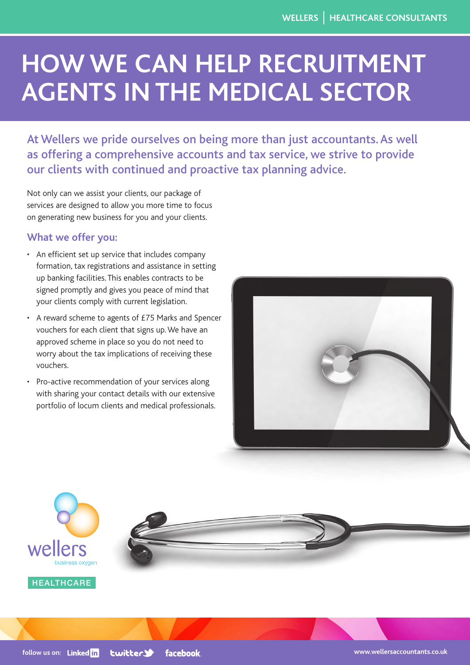# **HOW WE CAN HELP RECRUITMENT AGENTS IN THE MEDICAL SECTOR**

At Wellers we pride ourselves on being more than just accountants. As well as offering a comprehensive accounts and tax service, we strive to provide our clients with continued and proactive tax planning advice.

Not only can we assist your clients, our package of services are designed to allow you more time to focus on generating new business for you and your clients.

## **What we offer you:**

- An efficient set up service that includes company formation, tax registrations and assistance in setting up banking facilities. This enables contracts to be signed promptly and gives you peace of mind that your clients comply with current legislation.
- A reward scheme to agents of £75 Marks and Spencer vouchers for each client that signs up. We have an approved scheme in place so you do not need to worry about the tax implications of receiving these vouchers.
- Pro-active recommendation of your services along with sharing your contact details with our extensive portfolio of locum clients and medical professionals.